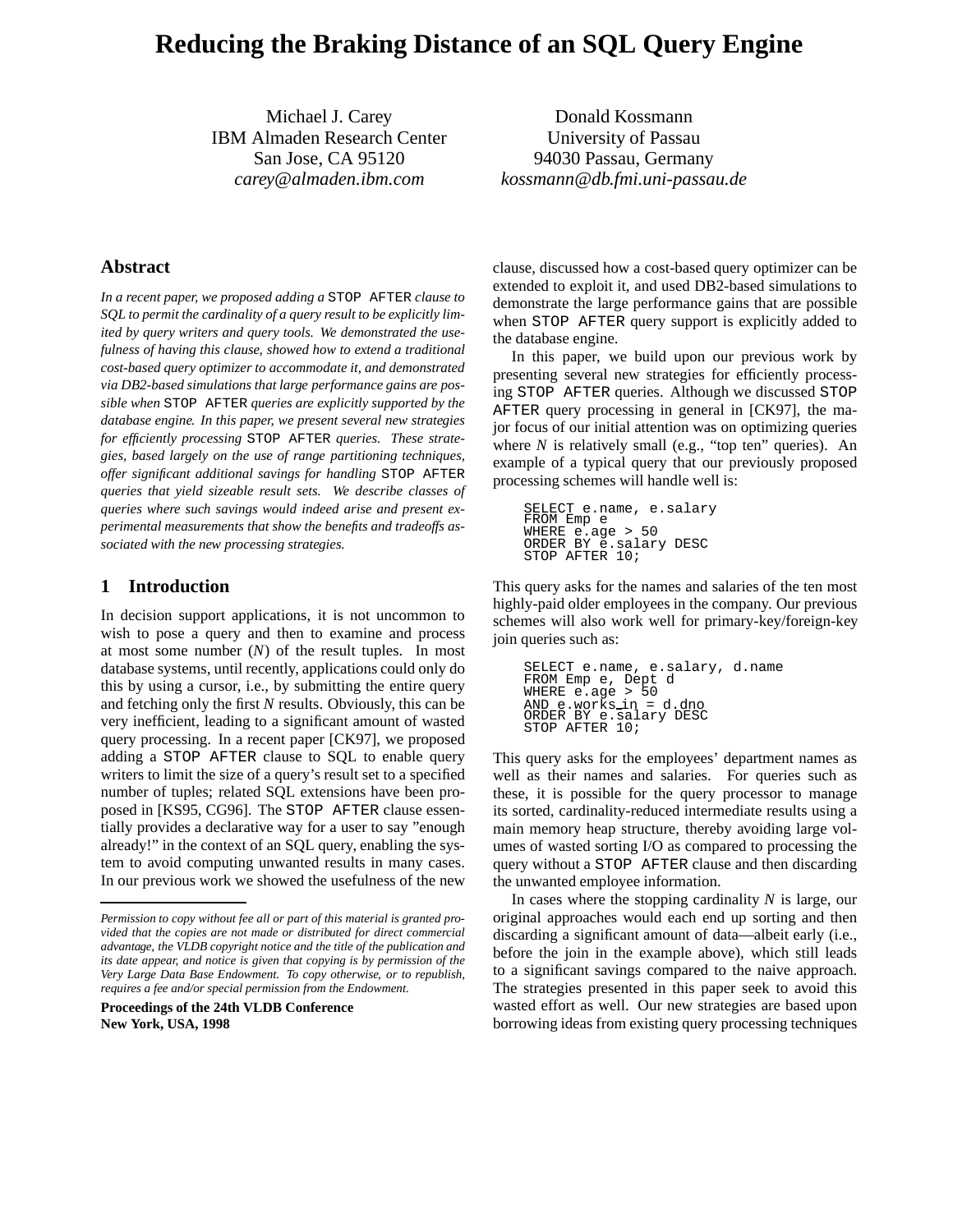# **Reducing the Braking Distance of an SQL Query Engine**

Michael J. Carey IBM Almaden Research Center San Jose, CA 95120 *carey@almaden.ibm.com*

Donald Kossmann University of Passau 94030 Passau, Germany *kossmann@db.fmi.uni-passau.de*

# **Abstract**

*In a recent paper, we proposed adding a* STOP AFTER *clause to SQL to permit the cardinality of a query result to be explicitly limited by query writers and query tools. We demonstrated the usefulness of having this clause, showed how to extend a traditional cost-based query optimizer to accommodate it, and demonstrated via DB2-based simulations that large performance gains are possible when* STOP AFTER *queries are explicitly supported by the database engine. In this paper, we present several new strategies for efficiently processing* STOP AFTER *queries. These strategies, based largely on the use of range partitioning techniques, offer significant additional savings for handling* STOP AFTER *queries that yield sizeable result sets. We describe classes of queries where such savings would indeed arise and present experimental measurements that show the benefits and tradeoffs associated with the new processing strategies.*

# **1 Introduction**

In decision support applications, it is not uncommon to wish to pose a query and then to examine and process at most some number  $(N)$  of the result tuples. In most database systems, until recently, applications could only do this by using a cursor, i.e., by submitting the entire query and fetching only the first *N* results. Obviously, this can be very inefficient, leading to a significant amount of wasted query processing. In a recent paper [CK97], we proposed adding a STOP AFTER clause to SQL to enable query writers to limit the size of a query's result set to a specified number of tuples; related SQL extensions have been proposed in [KS95, CG96]. The STOP AFTER clause essentially provides a declarative way for a user to say "enough already!" in the context of an SQL query, enabling the system to avoid computing unwanted results in many cases. In our previous work we showed the usefulness of the new

**Proceedings of the 24th VLDB Conference New York, USA, 1998**

clause, discussed how a cost-based query optimizer can be extended to exploit it, and used DB2-based simulations to demonstrate the large performance gains that are possible when STOP AFTER query support is explicitly added to the database engine.

In this paper, we build upon our previous work by presenting several new strategies for efficiently processing STOP AFTER queries. Although we discussed STOP AFTER query processing in general in [CK97], the major focus of our initial attention was on optimizing queries where *N* is relatively small (e.g., "top ten" queries). An example of a typical query that our previously proposed processing schemes will handle well is:

```
SELECT e.name, e.salary
FROM Emp e
WHERE e. age > 50
ORDER BY e.salary DESC
STOP AFTER 10;
```
This query asks for the names and salaries of the ten most highly-paid older employees in the company. Our previous schemes will also work well for primary-key/foreign-key join queries such as:

```
SELECT e.name, e.salary, d.name
FROM Emp e, Dept d
WHERE e.age > 50
AND e.works in = d.dno
ORDER BY e.salary DESC
STOP AFTER 10;
```
This query asks for the employees' department names as well as their names and salaries. For queries such as these, it is possible for the query processor to manage its sorted, cardinality-reduced intermediate results using a main memory heap structure, thereby avoiding large volumes of wasted sorting I/O as compared to processing the query without a STOP AFTER clause and then discarding the unwanted employee information.

In cases where the stopping cardinality *N* is large, our original approaches would each end up sorting and then discarding a significant amount of data—albeit early (i.e., before the join in the example above), which still leads to a significant savings compared to the naive approach. The strategies presented in this paper seek to avoid this wasted effort as well. Our new strategies are based upon borrowing ideas from existing query processing techniques

*Permission to copy without fee all or part of this material is granted provided that the copies are not made or distributed for direct commercial advantage, the VLDB copyright notice and the title of the publication and its date appear, and notice is given that copying is by permission of the Very Large Data Base Endowment. To copy otherwise, or to republish, requires a fee and/or special permission from the Endowment.*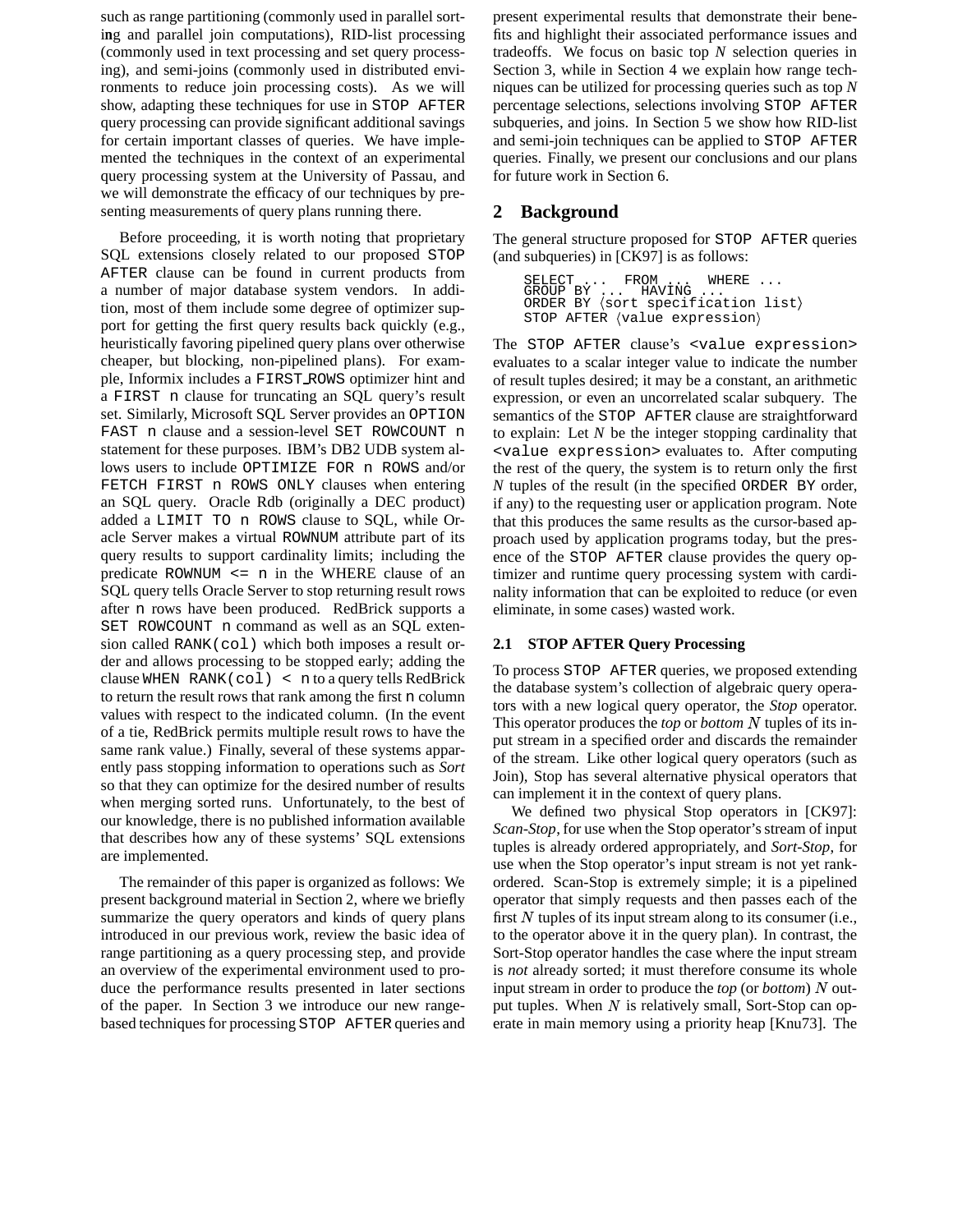such as range partitioning (commonly used in parallel sorting and parallel join computations), RID-list processing (commonly used in text processing and set query processing), and semi-joins (commonly used in distributed environments to reduce join processing costs). As we will show, adapting these techniques for use in STOP AFTER query processing can provide significant additional savings for certain important classes of queries. We have implemented the techniques in the context of an experimental query processing system at the University of Passau, and we will demonstrate the efficacy of our techniques by presenting measurements of query plans running there.

Before proceeding, it is worth noting that proprietary SQL extensions closely related to our proposed STOP AFTER clause can be found in current products from a number of major database system vendors. In addition, most of them include some degree of optimizer support for getting the first query results back quickly (e.g., heuristically favoring pipelined query plans over otherwise cheaper, but blocking, non-pipelined plans). For example, Informix includes a FIRST ROWS optimizer hint and a FIRST n clause for truncating an SQL query's result set. Similarly, Microsoft SQL Server provides an OPTION FAST n clause and a session-level SET ROWCOUNT n statement for these purposes. IBM's DB2 UDB system allows users to include OPTIMIZE FOR n ROWS and/or FETCH FIRST n ROWS ONLY clauses when entering an SQL query. Oracle Rdb (originally a DEC product) added a LIMIT TO n ROWS clause to SQL, while Oracle Server makes a virtual ROWNUM attribute part of its query results to support cardinality limits; including the predicate ROWNUM <= n in the WHERE clause of an SQL query tells Oracle Server to stop returning result rows after n rows have been produced. RedBrick supports a SET ROWCOUNT n command as well as an SQL extension called RANK(col) which both imposes a result order and allows processing to be stopped early; adding the clause WHEN RANK(col) < n to a query tells RedBrick to return the result rows that rank among the first n column values with respect to the indicated column. (In the event of a tie, RedBrick permits multiple result rows to have the same rank value.) Finally, several of these systems apparently pass stopping information to operations such as *Sort* so that they can optimize for the desired number of results when merging sorted runs. Unfortunately, to the best of our knowledge, there is no published information available that describes how any of these systems' SQL extensions are implemented.

The remainder of this paper is organized as follows: We present background material in Section 2, where we briefly summarize the query operators and kinds of query plans introduced in our previous work, review the basic idea of range partitioning as a query processing step, and provide an overview of the experimental environment used to produce the performance results presented in later sections of the paper. In Section 3 we introduce our new rangebased techniques for processing STOP AFTER queries and present experimental results that demonstrate their benefits and highlight their associated performance issues and tradeoffs. We focus on basic top *N* selection queries in Section 3, while in Section 4 we explain how range techniques can be utilized for processing queries such as top *N* percentage selections, selections involving STOP AFTER subqueries, and joins. In Section 5 we show how RID-list and semi-join techniques can be applied to STOP AFTER queries. Finally, we present our conclusions and our plans for future work in Section 6.

# **2 Background**

The general structure proposed for STOP AFTER queries (and subqueries) in [CK97] is as follows:

```
SELECT ... FROM ... WHERE ...<br>GROUP BY ... HAVING ...<br>ORDER BY (sort specification list
STOP AFTER (value expression
```
The STOP AFTER clause's <value expression> evaluates to a scalar integer value to indicate the number of result tuples desired; it may be a constant, an arithmetic expression, or even an uncorrelated scalar subquery. The semantics of the STOP AFTER clause are straightforward to explain: Let *N* be the integer stopping cardinality that <value expression> evaluates to. After computing the rest of the query, the system is to return only the first *N* tuples of the result (in the specified ORDER BY order, if any) to the requesting user or application program. Note that this produces the same results as the cursor-based approach used by application programs today, but the presence of the STOP AFTER clause provides the query optimizer and runtime query processing system with cardinality information that can be exploited to reduce (or even eliminate, in some cases) wasted work.

# **2.1 STOP AFTER Query Processing**

To process STOP AFTER queries, we proposed extending the database system's collection of algebraic query operators with a new logical query operator, the *Stop* operator. This operator produces the *top* or *bottom* N tuples of its input stream in a specified order and discards the remainder of the stream. Like other logical query operators (such as Join), Stop has several alternative physical operators that can implement it in the context of query plans.

We defined two physical Stop operators in [CK97]: *Scan-Stop*, for use when the Stop operator's stream of input tuples is already ordered appropriately, and *Sort-Stop*, for use when the Stop operator's input stream is not yet rankordered. Scan-Stop is extremely simple; it is a pipelined operator that simply requests and then passes each of the first  $N$  tuples of its input stream along to its consumer (i.e., to the operator above it in the query plan). In contrast, the Sort-Stop operator handles the case where the input stream is *not* already sorted; it must therefore consume its whole input stream in order to produce the *top* (or *bottom*) N output tuples. When  $N$  is relatively small, Sort-Stop can operate in main memory using a priority heap [Knu73]. The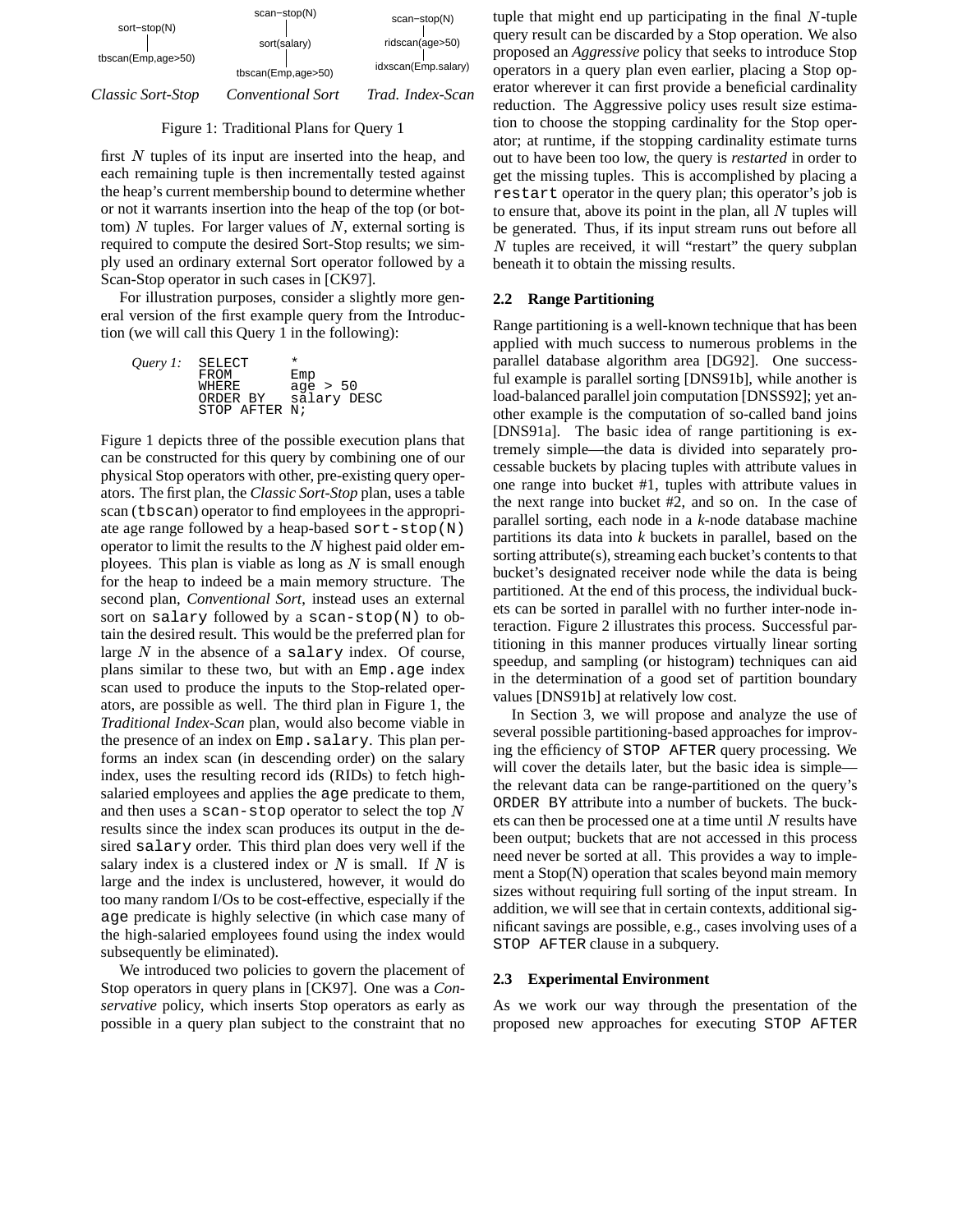

#### Figure 1: Traditional Plans for Query 1

first  $N$  tuples of its input are inserted into the heap, and each remaining tuple is then incrementally tested against the heap's current membership bound to determine whether or not it warrants insertion into the heap of the top (or bottom)  $N$  tuples. For larger values of  $N$ , external sorting is required to compute the desired Sort-Stop results; we simply used an ordinary external Sort operator followed by a Scan-Stop operator in such cases in [CK97].

For illustration purposes, consider a slightly more general version of the first example query from the Introduction (we will call this Query 1 in the following):

| $Query 1:$ SELECT |               | *           |
|-------------------|---------------|-------------|
|                   | FROM          | Emp         |
|                   | WHERE         | age $> 50$  |
|                   | ORDER BY      | salary DESC |
|                   | STOP AFTER N; |             |

Figure 1 depicts three of the possible execution plans that can be constructed for this query by combining one of our physical Stop operators with other, pre-existing query operators. The first plan, the *Classic Sort-Stop* plan, uses a table scan (tbscan) operator to find employees in the appropriate age range followed by a heap-based sort-stop(N) operator to limit the results to the  $N$  highest paid older employees. This plan is viable as long as  $N$  is small enough for the heap to indeed be a main memory structure. The second plan, *Conventional Sort*, instead uses an external sort on salary followed by a scan-stop(N) to obtain the desired result. This would be the preferred plan for large  $N$  in the absence of a salary index. Of course, plans similar to these two, but with an Emp.age index scan used to produce the inputs to the Stop-related operators, are possible as well. The third plan in Figure 1, the *Traditional Index-Scan* plan, would also become viable in the presence of an index on Emp. salary. This plan performs an index scan (in descending order) on the salary index, uses the resulting record ids (RIDs) to fetch highsalaried employees and applies the age predicate to them, and then uses a scan-stop operator to select the top  $N$ results since the index scan produces its output in the desired salary order. This third plan does very well if the salary index is a clustered index or  $N$  is small. If  $N$  is large and the index is unclustered, however, it would do too many random I/Os to be cost-effective, especially if the age predicate is highly selective (in which case many of the high-salaried employees found using the index would subsequently be eliminated).

We introduced two policies to govern the placement of Stop operators in query plans in [CK97]. One was a *Conservative* policy, which inserts Stop operators as early as possible in a query plan subject to the constraint that no

tuple that might end up participating in the final  $N$ -tuple query result can be discarded by a Stop operation. We also proposed an *Aggressive* policy that seeks to introduce Stop operators in a query plan even earlier, placing a Stop operator wherever it can first provide a beneficial cardinality reduction. The Aggressive policy uses result size estimation to choose the stopping cardinality for the Stop operator; at runtime, if the stopping cardinality estimate turns out to have been too low, the query is *restarted* in order to get the missing tuples. This is accomplished by placing a restart operator in the query plan; this operator's job is to ensure that, above its point in the plan, all  $N$  tuples will be generated. Thus, if its input stream runs out before all  $N$  tuples are received, it will "restart" the query subplan beneath it to obtain the missing results.

#### **2.2 Range Partitioning**

Range partitioning is a well-known technique that has been applied with much success to numerous problems in the parallel database algorithm area [DG92]. One successful example is parallel sorting [DNS91b], while another is load-balanced parallel join computation [DNSS92]; yet another example is the computation of so-called band joins [DNS91a]. The basic idea of range partitioning is extremely simple—the data is divided into separately processable buckets by placing tuples with attribute values in one range into bucket #1, tuples with attribute values in the next range into bucket #2, and so on. In the case of parallel sorting, each node in a *k*-node database machine partitions its data into *k* buckets in parallel, based on the sorting attribute(s), streaming each bucket's contents to that bucket's designated receiver node while the data is being partitioned. At the end of this process, the individual buckets can be sorted in parallel with no further inter-node interaction. Figure 2 illustrates this process. Successful partitioning in this manner produces virtually linear sorting speedup, and sampling (or histogram) techniques can aid in the determination of a good set of partition boundary values [DNS91b] at relatively low cost.

In Section 3, we will propose and analyze the use of several possible partitioning-based approaches for improving the efficiency of STOP AFTER query processing. We will cover the details later, but the basic idea is simple the relevant data can be range-partitioned on the query's ORDER BY attribute into a number of buckets. The buckets can then be processed one at a time until  $N$  results have been output; buckets that are not accessed in this process need never be sorted at all. This provides a way to implement a Stop(N) operation that scales beyond main memory sizes without requiring full sorting of the input stream. In addition, we will see that in certain contexts, additional significant savings are possible, e.g., cases involving uses of a STOP AFTER clause in a subquery.

#### **2.3 Experimental Environment**

As we work our way through the presentation of the proposed new approaches for executing STOP AFTER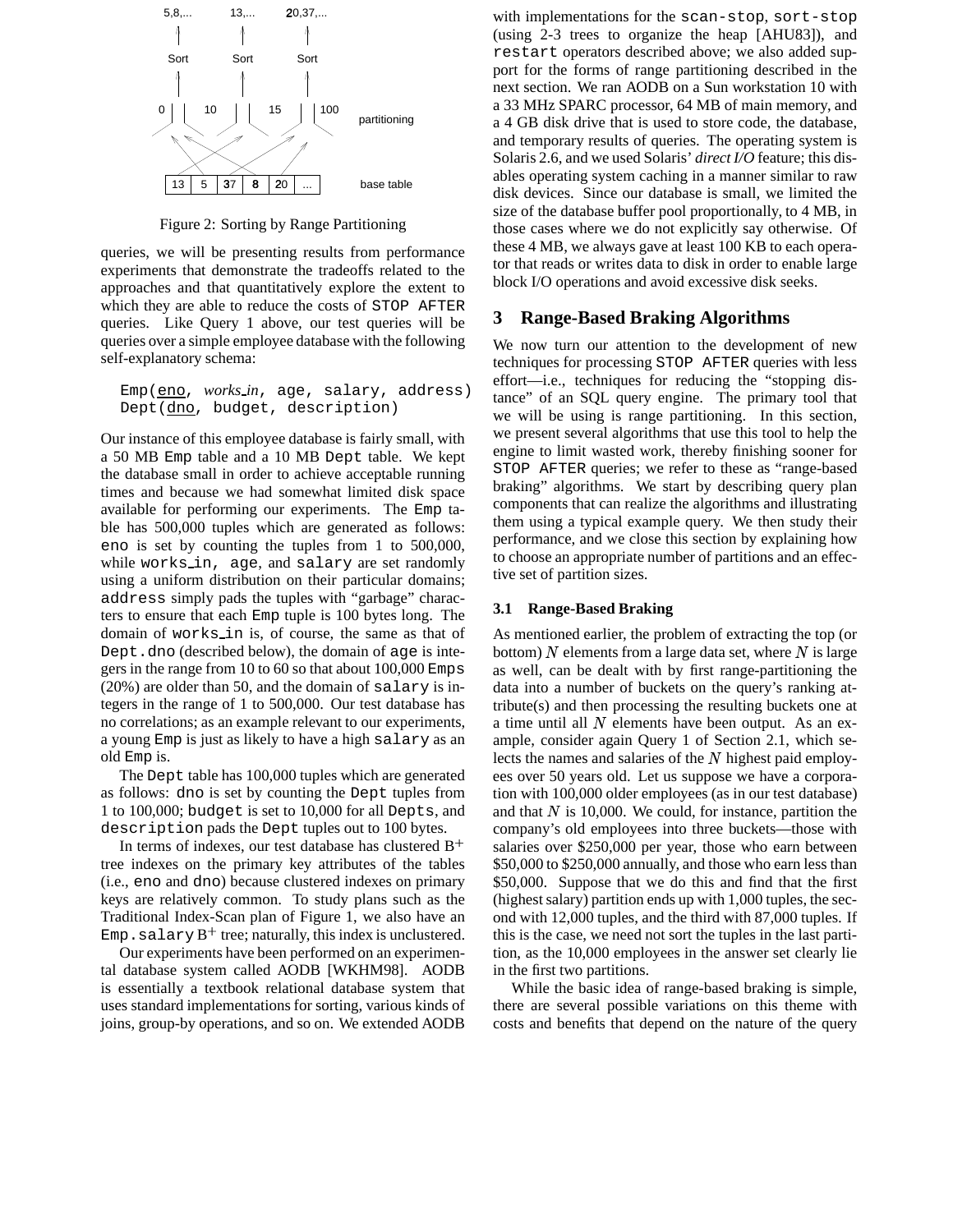

Figure 2: Sorting by Range Partitioning

queries, we will be presenting results from performance experiments that demonstrate the tradeoffs related to the approaches and that quantitatively explore the extent to which they are able to reduce the costs of STOP AFTER queries. Like Query 1 above, our test queries will be queries over a simple employee database with the following self-explanatory schema:

```
Emp(eno, works in, age, salary, address)
Dept(dno, budget, description)
```
Our instance of this employee database is fairly small, with a 50 MB Emp table and a 10 MB Dept table. We kept the database small in order to achieve acceptable running times and because we had somewhat limited disk space available for performing our experiments. The Emp table has 500,000 tuples which are generated as follows: eno is set by counting the tuples from 1 to 500,000, while works in, age, and salary are set randomly using a uniform distribution on their particular domains; address simply pads the tuples with "garbage" characters to ensure that each Emp tuple is 100 bytes long. The domain of works in is, of course, the same as that of Dept.dno (described below), the domain of age is integers in the range from 10 to 60 so that about 100,000 Emps (20%) are older than 50, and the domain of salary is integers in the range of 1 to 500,000. Our test database has no correlations; as an example relevant to our experiments, a young Emp is just as likely to have a high salary as an old Emp is.

The Dept table has 100,000 tuples which are generated as follows: dno is set by counting the Dept tuples from 1 to 100,000; budget is set to 10,000 for all Depts, and description pads the Dept tuples out to 100 bytes.

In terms of indexes, our test database has clustered  $B<sup>+</sup>$ tree indexes on the primary key attributes of the tables (i.e., eno and dno) because clustered indexes on primary keys are relatively common. To study plans such as the Traditional Index-Scan plan of Figure 1, we also have an Emp. salary  $B^+$  tree; naturally, this index is unclustered.

Our experiments have been performed on an experimental database system called AODB [WKHM98]. AODB is essentially a textbook relational database system that uses standard implementations for sorting, various kinds of joins, group-by operations, and so on. We extended AODB

with implementations for the scan-stop, sort-stop (using 2-3 trees to organize the heap [AHU83]), and restart operators described above; we also added support for the forms of range partitioning described in the next section. We ran AODB on a Sun workstation 10 with a 33 MHz SPARC processor, 64 MB of main memory, and a 4 GB disk drive that is used to store code, the database, and temporary results of queries. The operating system is Solaris 2.6, and we used Solaris' *direct I/O* feature; this disables operating system caching in a manner similar to raw disk devices. Since our database is small, we limited the size of the database buffer pool proportionally, to 4 MB, in those cases where we do not explicitly say otherwise. Of these 4 MB, we always gave at least 100 KB to each operator that reads or writes data to disk in order to enable large block I/O operations and avoid excessive disk seeks.

# **3 Range-Based Braking Algorithms**

We now turn our attention to the development of new techniques for processing STOP AFTER queries with less effort—i.e., techniques for reducing the "stopping distance" of an SQL query engine. The primary tool that we will be using is range partitioning. In this section, we present several algorithms that use this tool to help the engine to limit wasted work, thereby finishing sooner for STOP AFTER queries; we refer to these as "range-based braking" algorithms. We start by describing query plan components that can realize the algorithms and illustrating them using a typical example query. We then study their performance, and we close this section by explaining how to choose an appropriate number of partitions and an effective set of partition sizes.

### **3.1 Range-Based Braking**

As mentioned earlier, the problem of extracting the top (or bottom)  $N$  elements from a large data set, where  $N$  is large as well, can be dealt with by first range-partitioning the data into a number of buckets on the query's ranking attribute(s) and then processing the resulting buckets one at a time until all  $N$  elements have been output. As an example, consider again Query 1 of Section 2.1, which selects the names and salaries of the  $N$  highest paid employees over 50 years old. Let us suppose we have a corporation with 100,000 older employees (as in our test database) and that  $N$  is 10,000. We could, for instance, partition the company's old employees into three buckets—those with salaries over \$250,000 per year, those who earn between \$50,000 to \$250,000 annually, and those who earn less than \$50,000. Suppose that we do this and find that the first (highest salary) partition ends up with  $1,000$  tuples, the second with 12,000 tuples, and the third with 87,000 tuples. If this is the case, we need not sort the tuples in the last partition, as the 10,000 employees in the answer set clearly lie in the first two partitions.

While the basic idea of range-based braking is simple, there are several possible variations on this theme with costs and benefits that depend on the nature of the query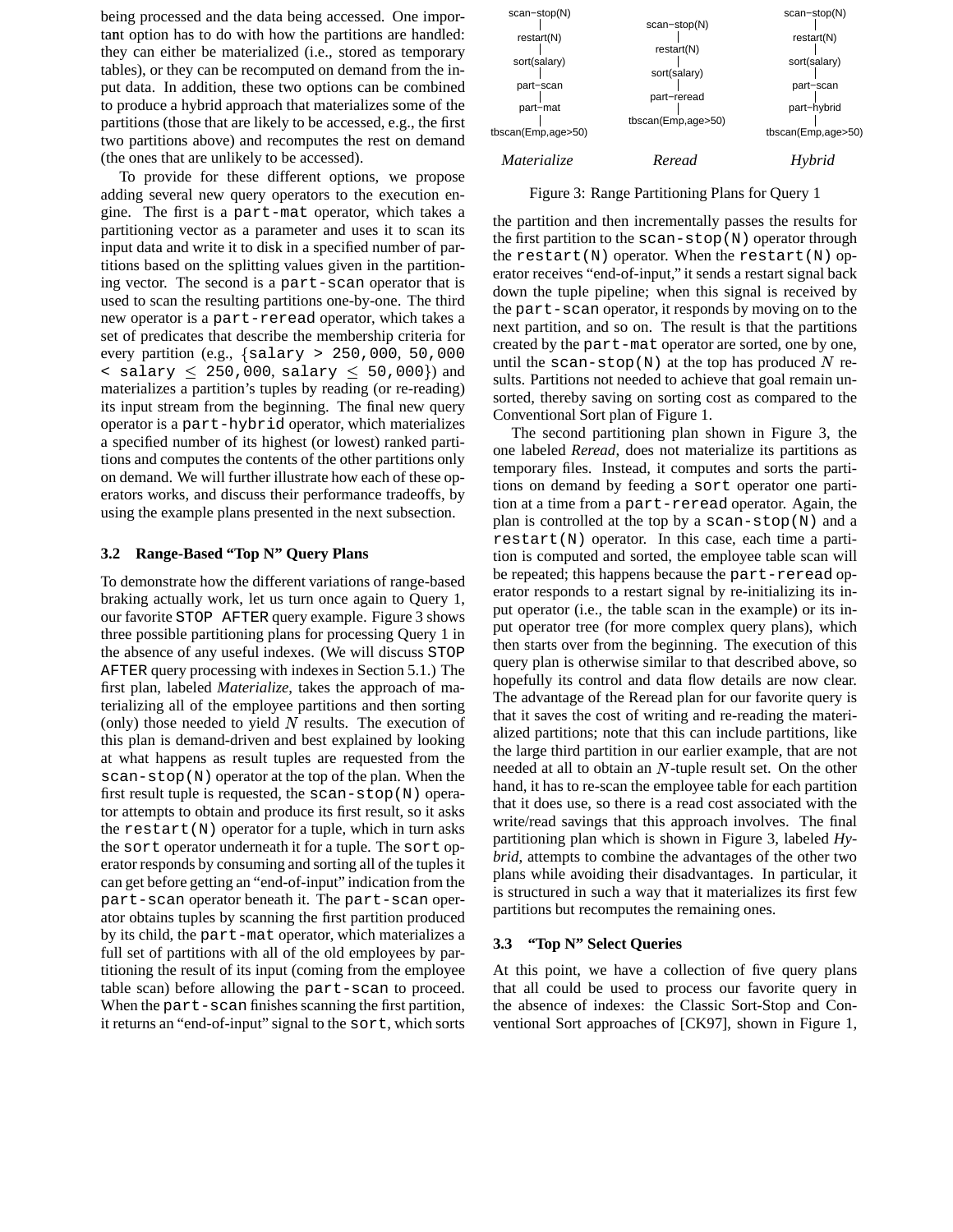being processed and the data being accessed. One important option has to do with how the partitions are handled: they can either be materialized (i.e., stored as temporary tables), or they can be recomputed on demand from the input data. In addition, these two options can be combined to produce a hybrid approach that materializes some of the partitions (those that are likely to be accessed, e.g., the first two partitions above) and recomputes the rest on demand (the ones that are unlikely to be accessed).

To provide for these different options, we propose adding several new query operators to the execution engine. The first is a part-mat operator, which takes a partitioning vector as a parameter and uses it to scan its input data and write it to disk in a specified number of partitions based on the splitting values given in the partitioning vector. The second is a part-scan operator that is used to scan the resulting partitions one-by-one. The third new operator is a part-reread operator, which takes a set of predicates that describe the membership criteria for every partition (e.g.,  $\{salary > 250,000, 50,000$  $\texttt{[1]}$  < salary  $\leq 250$ , 000, salary  $\leq 50$ , 000}) and materializes a partition's tuples by reading (or re-reading) its input stream from the beginning. The final new query operator is a part-hybrid operator, which materializes a specified number of its highest (or lowest) ranked partitions and computes the contents of the other partitions only on demand. We will further illustrate how each of these operators works, and discuss their performance tradeoffs, by using the example plans presented in the next subsection.

#### **3.2 Range-Based "Top N" Query Plans**

To demonstrate how the different variations of range-based braking actually work, let us turn once again to Query 1, our favorite STOP AFTER query example. Figure 3 shows three possible partitioning plans for processing Query 1 in the absence of any useful indexes. (We will discuss STOP AFTER query processing with indexes in Section 5.1.) The first plan, labeled *Materialize*, takes the approach of materializing all of the employee partitions and then sorting (only) those needed to yield  $N$  results. The execution of this plan is demand-driven and best explained by looking at what happens as result tuples are requested from the scan-stop(N) operator at the top of the plan. When the first result tuple is requested, the scan-stop(N) operator attempts to obtain and produce its first result, so it asks the restart $(N)$  operator for a tuple, which in turn asks the sort operator underneath it for a tuple. The sort operator responds by consuming and sorting all of the tuplesit can get before getting an "end-of-input" indication from the part-scan operator beneath it. The part-scan operator obtains tuples by scanning the first partition produced by its child, the part-mat operator, which materializes a full set of partitions with all of the old employees by partitioning the result of its input (coming from the employee table scan) before allowing the part-scan to proceed. When the part-scan finishes scanning the first partition, it returns an "end-of-input" signal to the sort, which sorts



Figure 3: Range Partitioning Plans for Query 1

the partition and then incrementally passes the results for the first partition to the scan-stop(N) operator through the restart(N) operator. When the restart(N) operator receives "end-of-input," it sends a restart signal back down the tuple pipeline; when this signal is received by the part-scan operator, it responds by moving on to the next partition, and so on. The result is that the partitions created by the part-mat operator are sorted, one by one, until the scan-stop(N) at the top has produced N results. Partitions not needed to achieve that goal remain unsorted, thereby saving on sorting cost as compared to the Conventional Sort plan of Figure 1.

The second partitioning plan shown in Figure 3, the one labeled *Reread*, does not materialize its partitions as temporary files. Instead, it computes and sorts the partitions on demand by feeding a sort operator one partition at a time from a part-reread operator. Again, the plan is controlled at the top by a scan-stop(N) and a restart(N) operator. In this case, each time a partition is computed and sorted, the employee table scan will be repeated; this happens because the part-reread operator responds to a restart signal by re-initializing its input operator (i.e., the table scan in the example) or its input operator tree (for more complex query plans), which then starts over from the beginning. The execution of this query plan is otherwise similar to that described above, so hopefully its control and data flow details are now clear. The advantage of the Reread plan for our favorite query is that it saves the cost of writing and re-reading the materialized partitions; note that this can include partitions, like the large third partition in our earlier example, that are not needed at all to obtain an  $N$ -tuple result set. On the other hand, it has to re-scan the employee table for each partition that it does use, so there is a read cost associated with the write/read savings that this approach involves. The final partitioning plan which is shown in Figure 3, labeled *Hybrid*, attempts to combine the advantages of the other two plans while avoiding their disadvantages. In particular, it is structured in such a way that it materializes its first few partitions but recomputes the remaining ones.

#### **3.3 "Top N" Select Queries**

At this point, we have a collection of five query plans that all could be used to process our favorite query in the absence of indexes: the Classic Sort-Stop and Conventional Sort approaches of [CK97], shown in Figure 1,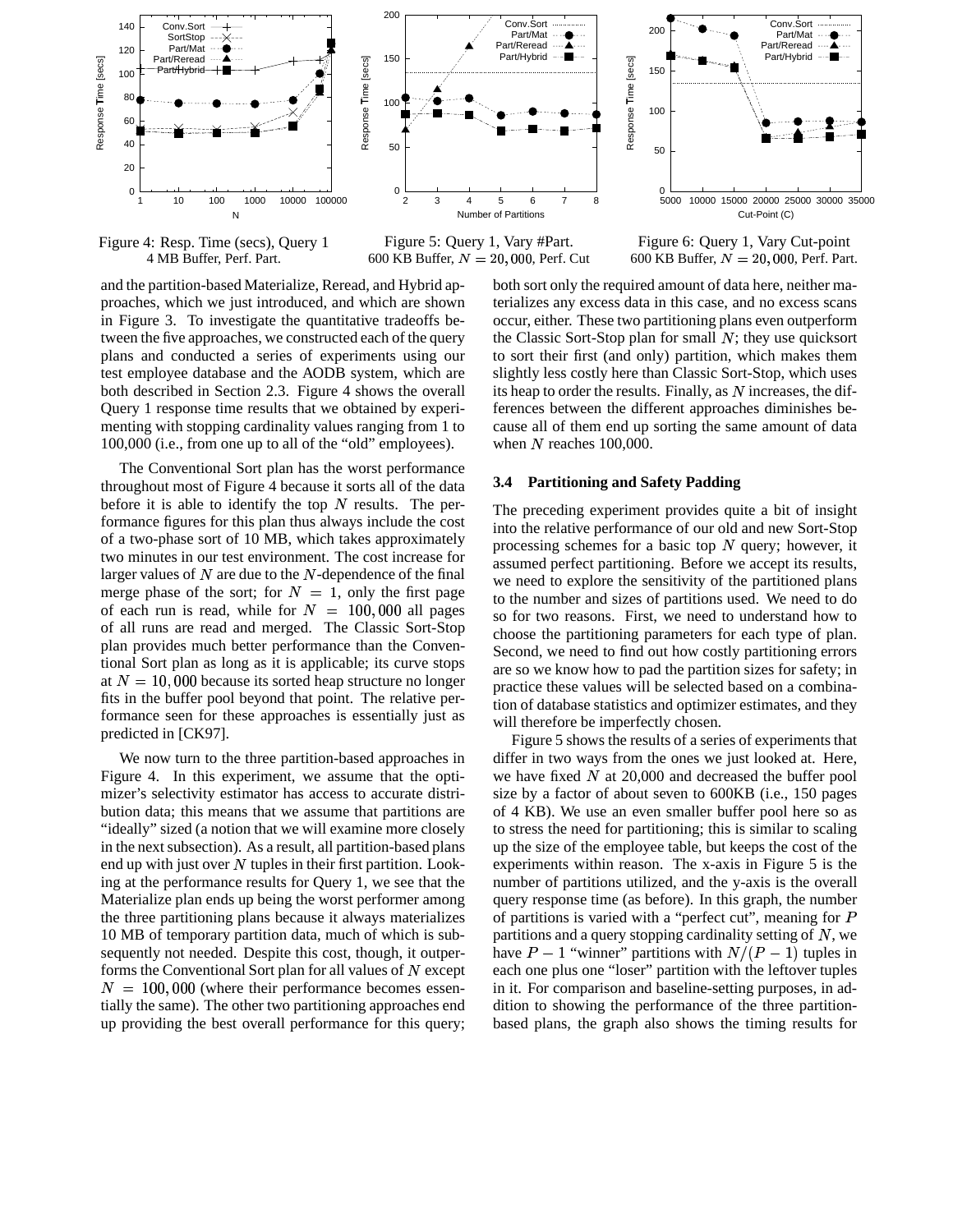

Figure 4: Resp. Time (secs), Query 1 4 MB Buffer, Perf. Part.



2 3 4 5 6 7 8

Conv.Sort Part/Mat Part/Reread Part/Hybrid

Number of Partitions

0

50

100

150

200

5000 50 100 150 200 5000 10000 15000 20000 25000 30000 35000 Response Time [secs] Cut-Point (C) Conv.Sort Part/Mat -Part/Reread Part/Hybrid -

Figure 6: Query 1, Vary Cut-point 600 KB Buffer,  $N = 20,000$ , Perf. Part.

and the partition-based Materialize, Reread, and Hybrid approaches, which we just introduced, and which are shown in Figure 3. To investigate the quantitative tradeoffs between the five approaches, we constructed each of the query plans and conducted a series of experiments using our test employee database and the AODB system, which are both described in Section 2.3. Figure 4 shows the overall Query 1 response time results that we obtained by experimenting with stopping cardinality values ranging from 1 to 100,000 (i.e., from one up to all of the "old" employees).

The Conventional Sort plan has the worst performance throughout most of Figure 4 because it sorts all of the data before it is able to identify the top  $N$  results. The performance figures for this plan thus always include the cost of a two-phase sort of 10 MB, which takes approximately two minutes in our test environment. The cost increase for larger values of  $N$  are due to the  $N$ -dependence of the final merge phase of the sort; for  $N = 1$ , only the first page of each run is read, while for  $N = 100,000$  all pages of all runs are read and merged. The Classic Sort-Stop plan provides much better performance than the Conventional Sort plan as long as it is applicable; its curve stops at  $N = 10,000$  because its sorted heap structure no longer fits in the buffer pool beyond that point. The relative performance seen for these approaches is essentially just as predicted in [CK97].

We now turn to the three partition-based approaches in Figure 4. In this experiment, we assume that the optimizer's selectivity estimator has access to accurate distribution data; this means that we assume that partitions are "ideally" sized (a notion that we will examine more closely in the next subsection). As a result, all partition-based plans end up with just over  $N$  tuples in their first partition. Looking at the performance results for Query 1, we see that the Materialize plan ends up being the worst performer among the three partitioning plans because it always materializes 10 MB of temporary partition data, much of which is subsequently not needed. Despite this cost, though, it outperforms the Conventional Sort plan for all values of  $N$  except  $N = 100,000$  (where their performance becomes essentially the same). The other two partitioning approaches end up providing the best overall performance for this query; both sort only the required amount of data here, neither materializes any excess data in this case, and no excess scans occur, either. These two partitioning plans even outperform the Classic Sort-Stop plan for small  $N$ ; they use quicksort to sort their first (and only) partition, which makes them slightly less costly here than Classic Sort-Stop, which uses its heap to order the results. Finally, as  $N$  increases, the differences between the different approaches diminishes because all of them end up sorting the same amount of data when  $N$  reaches 100,000.

#### **3.4 Partitioning and Safety Padding**

The preceding experiment provides quite a bit of insight into the relative performance of our old and new Sort-Stop processing schemes for a basic top  $N$  query; however, it assumed perfect partitioning. Before we accept its results, we need to explore the sensitivity of the partitioned plans to the number and sizes of partitions used. We need to do so for two reasons. First, we need to understand how to choose the partitioning parameters for each type of plan. Second, we need to find out how costly partitioning errors are so we know how to pad the partition sizes for safety; in practice these values will be selected based on a combination of database statistics and optimizer estimates, and they will therefore be imperfectly chosen.

Figure 5 shows the results of a series of experiments that differ in two ways from the ones we just looked at. Here, we have fixed  $N$  at 20,000 and decreased the buffer pool size by a factor of about seven to 600KB (i.e., 150 pages of 4 KB). We use an even smaller buffer pool here so as to stress the need for partitioning; this is similar to scaling up the size of the employee table, but keeps the cost of the experiments within reason. The x-axis in Figure 5 is the number of partitions utilized, and the y-axis is the overall query response time (as before). In this graph, the number of partitions is varied with a "perfect cut", meaning for  $$ partitions and a query stopping cardinality setting of  $N$ , we have  $P-1$  "winner" partitions with  $N/(P-1)$  tuples in each one plus one "loser" partition with the leftover tuples in it. For comparison and baseline-setting purposes, in addition to showing the performance of the three partitionbased plans, the graph also shows the timing results for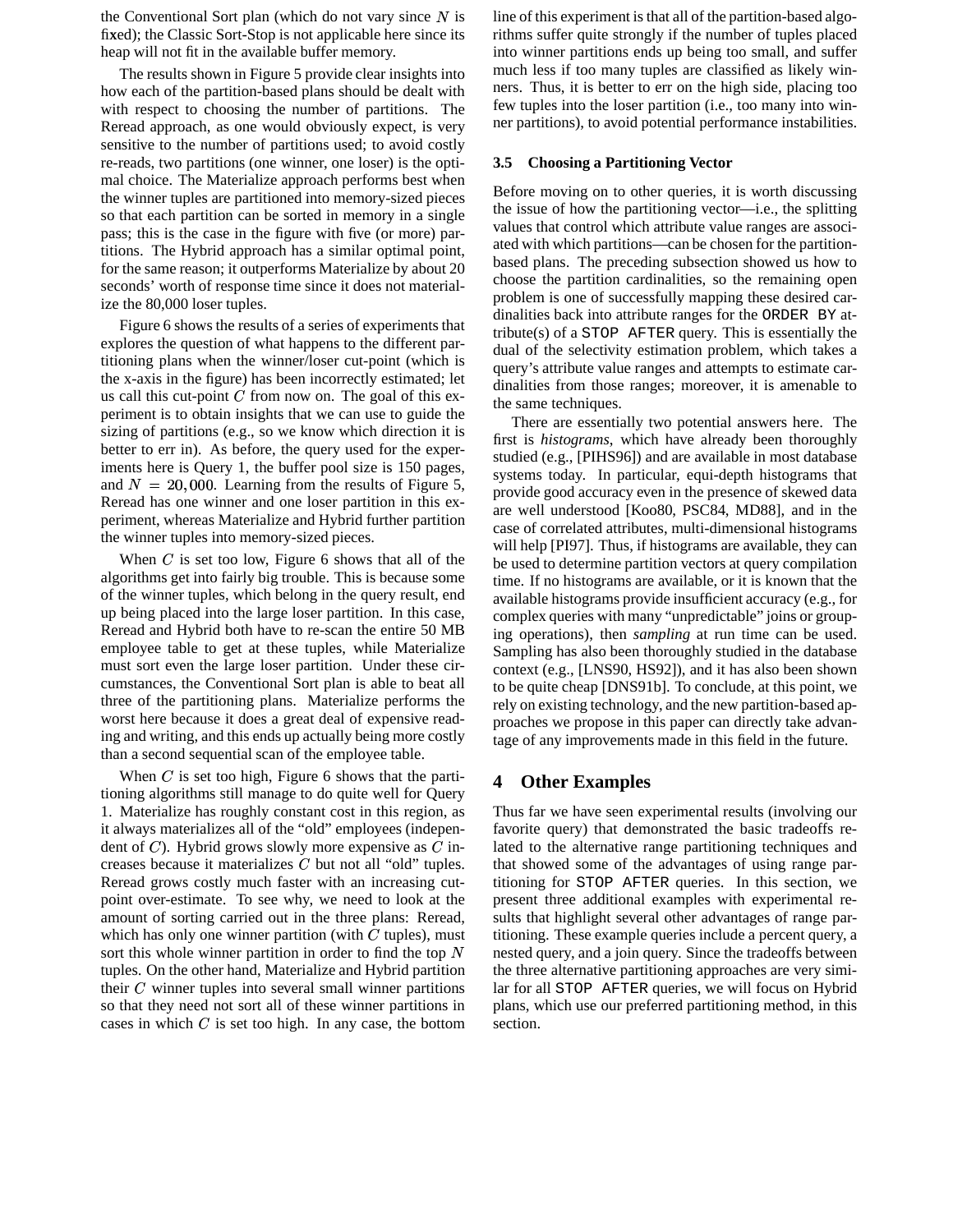the Conventional Sort plan (which do not vary since  $N$  is fixed); the Classic Sort-Stop is not applicable here since its heap will not fit in the available buffer memory.

The results shown in Figure 5 provide clear insights into how each of the partition-based plans should be dealt with with respect to choosing the number of partitions. The Reread approach, as one would obviously expect, is very sensitive to the number of partitions used; to avoid costly re-reads, two partitions (one winner, one loser) is the optimal choice. The Materialize approach performs best when the winner tuples are partitioned into memory-sized pieces so that each partition can be sorted in memory in a single pass; this is the case in the figure with five (or more) partitions. The Hybrid approach has a similar optimal point, for the same reason; it outperforms Materialize by about 20 seconds' worth of response time since it does not materialize the 80,000 loser tuples.

Figure 6 shows the results of a series of experiments that explores the question of what happens to the different partitioning plans when the winner/loser cut-point (which is the x-axis in the figure) has been incorrectly estimated; let us call this cut-point  $C$  from now on. The goal of this experiment is to obtain insights that we can use to guide the sizing of partitions (e.g., so we know which direction it is better to err in). As before, the query used for the experiments here is Query 1, the buffer pool size is 150 pages, and  $N = 20,000$ . Learning from the results of Figure 5, Reread has one winner and one loser partition in this experiment, whereas Materialize and Hybrid further partition the winner tuples into memory-sized pieces.

When  $C$  is set too low, Figure 6 shows that all of the algorithms get into fairly big trouble. This is because some of the winner tuples, which belong in the query result, end up being placed into the large loser partition. In this case, Reread and Hybrid both have to re-scan the entire 50 MB employee table to get at these tuples, while Materialize must sort even the large loser partition. Under these circumstances, the Conventional Sort plan is able to beat all three of the partitioning plans. Materialize performs the worst here because it does a great deal of expensive reading and writing, and this ends up actually being more costly than a second sequential scan of the employee table.

When  $C$  is set too high, Figure 6 shows that the partitioning algorithms still manage to do quite well for Query 1. Materialize has roughly constant cost in this region, as it always materializes all of the "old" employees (independent of  $C$ ). Hybrid grows slowly more expensive as  $C$  increases because it materializes  $C$  but not all "old" tuples. Reread grows costly much faster with an increasing cutpoint over-estimate. To see why, we need to look at the amount of sorting carried out in the three plans: Reread, which has only one winner partition (with  $C$  tuples), must sort this whole winner partition in order to find the top  $N$ tuples. On the other hand, Materialize and Hybrid partition their  $C$  winner tuples into several small winner partitions so that they need not sort all of these winner partitions in cases in which  $C$  is set too high. In any case, the bottom line of this experiment is that all of the partition-based algorithms suffer quite strongly if the number of tuples placed into winner partitions ends up being too small, and suffer much less if too many tuples are classified as likely winners. Thus, it is better to err on the high side, placing too few tuples into the loser partition (i.e., too many into winner partitions), to avoid potential performance instabilities.

#### **3.5 Choosing a Partitioning Vector**

Before moving on to other queries, it is worth discussing the issue of how the partitioning vector—i.e., the splitting values that control which attribute value ranges are associated with which partitions—can be chosen for the partitionbased plans. The preceding subsection showed us how to choose the partition cardinalities, so the remaining open problem is one of successfully mapping these desired cardinalities back into attribute ranges for the ORDER BY attribute(s) of a STOP AFTER query. This is essentially the dual of the selectivity estimation problem, which takes a query's attribute value ranges and attempts to estimate cardinalities from those ranges; moreover, it is amenable to the same techniques.

There are essentially two potential answers here. The first is *histograms*, which have already been thoroughly studied (e.g., [PIHS96]) and are available in most database systems today. In particular, equi-depth histograms that provide good accuracy even in the presence of skewed data are well understood [Koo80, PSC84, MD88], and in the case of correlated attributes, multi-dimensional histograms will help [PI97]. Thus, if histograms are available, they can be used to determine partition vectors at query compilation time. If no histograms are available, or it is known that the available histograms provide insufficient accuracy (e.g., for complex queries with many "unpredictable" joins or grouping operations), then *sampling* at run time can be used. Sampling has also been thoroughly studied in the database context (e.g., [LNS90, HS92]), and it has also been shown to be quite cheap [DNS91b]. To conclude, at this point, we rely on existing technology, and the new partition-based approaches we propose in this paper can directly take advantage of any improvements made in this field in the future.

# **4 Other Examples**

Thus far we have seen experimental results (involving our favorite query) that demonstrated the basic tradeoffs related to the alternative range partitioning techniques and that showed some of the advantages of using range partitioning for STOP AFTER queries. In this section, we present three additional examples with experimental results that highlight several other advantages of range partitioning. These example queries include a percent query, a nested query, and a join query. Since the tradeoffs between the three alternative partitioning approaches are very similar for all STOP AFTER queries, we will focus on Hybrid plans, which use our preferred partitioning method, in this section.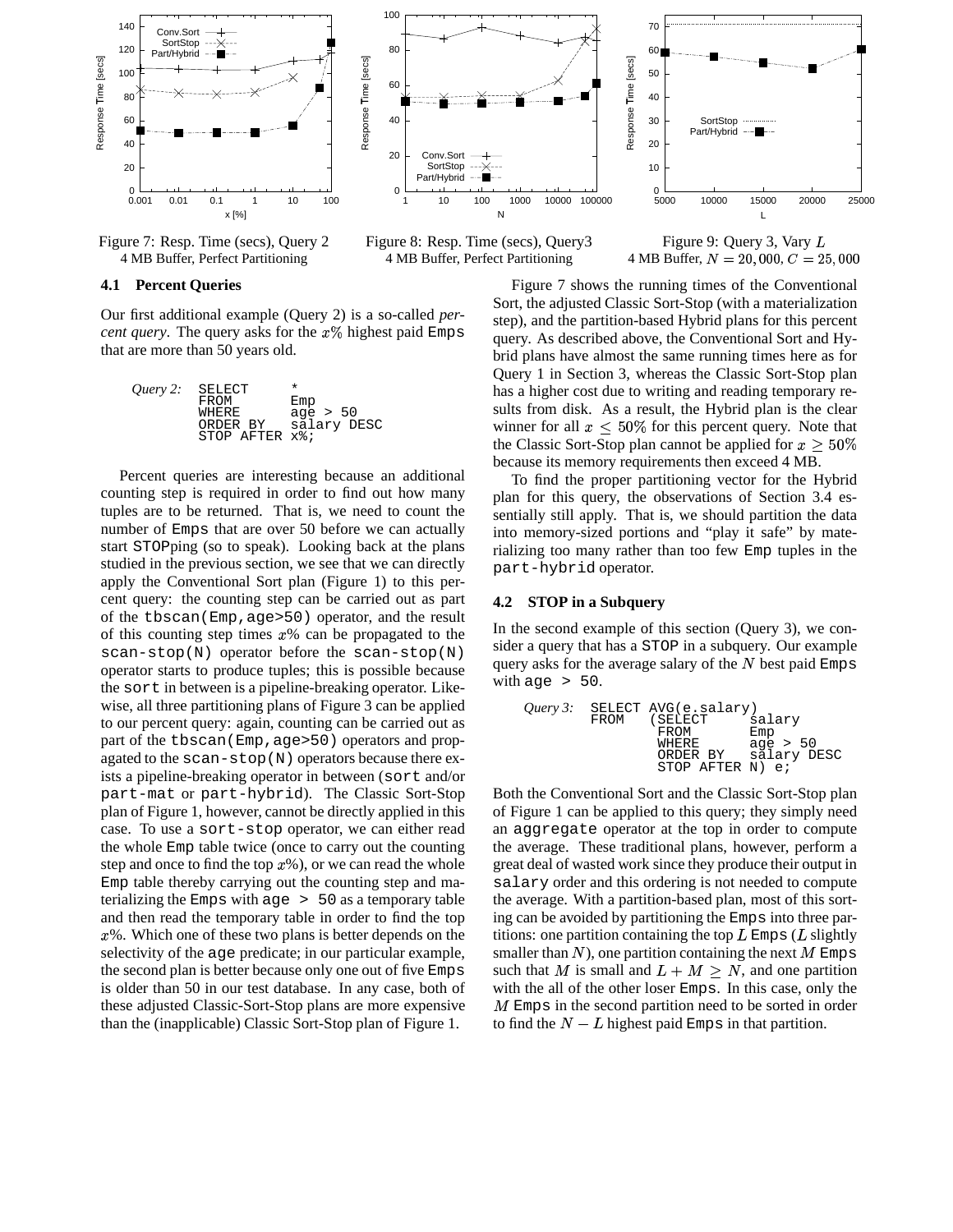



Figure 8: Resp. Time (secs), Query3 4 MB Buffer, Perfect Partitioning

Figure 7: Resp. Time (secs), Query 2 4 MB Buffer, Perfect Partitioning

#### **4.1 Percent Queries**

Our first additional example (Query 2) is a so-called *percent query*. The query asks for the  $x\%$  highest paid Emps that are more than 50 years old.

| $Query 2:$ SELECT | FROM<br>WHERE              | $\star$<br>Emp<br>age $> 50$ |
|-------------------|----------------------------|------------------------------|
|                   | ORDER BY<br>STOP AFTER x%; | salary DESC                  |

Percent queries are interesting because an additional counting step is required in order to find out how many tuples are to be returned. That is, we need to count the number of Emps that are over 50 before we can actually start STOPping (so to speak). Looking back at the plans studied in the previous section, we see that we can directly apply the Conventional Sort plan (Figure 1) to this percent query: the counting step can be carried out as part of the tbscan(Emp,age>50) operator, and the result of this counting step times  $x$ % can be propagated to the  $scan\text{-}stop(N)$  operator before the scan-stop(N) operator starts to produce tuples; this is possible because the sort in between is a pipeline-breaking operator. Likewise, all three partitioning plans of Figure 3 can be applied to our percent query: again, counting can be carried out as part of the tbscan (Emp, age > 50) operators and propagated to the scan-stop(N) operators because there exists a pipeline-breaking operator in between (sort and/or part-mat or part-hybrid). The Classic Sort-Stop plan of Figure 1, however, cannot be directly applied in this case. To use a sort-stop operator, we can either read the whole Emp table twice (once to carry out the counting step and once to find the top  $x\%$ ), or we can read the whole Emp table thereby carrying out the counting step and materializing the Emps with age > 50 as a temporary table and then read the temporary table in order to find the top  $x\%$ . Which one of these two plans is better depends on the selectivity of the age predicate; in our particular example, the second plan is better because only one out of five Emps is older than 50 in our test database. In any case, both of these adjusted Classic-Sort-Stop plans are more expensive than the (inapplicable) Classic Sort-Stop plan of Figure 1.



Figure 9: Query 3, Vary  $L$ 4 MB Buffer,  $N = 20,000, C = 25,000$ 

Figure 7 shows the running times of the Conventional Sort, the adjusted Classic Sort-Stop (with a materialization step), and the partition-based Hybrid plans for this percent query. As described above, the Conventional Sort and Hybrid plans have almost the same running times here as for Query 1 in Section 3, whereas the Classic Sort-Stop plan has a higher cost due to writing and reading temporary results from disk. As a result, the Hybrid plan is the clear winner for all  $x \leq 50\%$  for this percent query. Note that the Classic Sort-Stop plan cannot be applied for  $x \geq 50\%$ because its memory requirements then exceed 4 MB.

70

To find the proper partitioning vector for the Hybrid plan for this query, the observations of Section 3.4 essentially still apply. That is, we should partition the data into memory-sized portions and "play it safe" by materializing too many rather than too few Emp tuples in the part-hybrid operator.

#### **4.2 STOP in a Subquery**

In the second example of this section (Query 3), we consider a query that has a STOP in a subquery. Our example query asks for the average salary of the  $N$  best paid Emps with age  $> 50$ .

|      | $Query 3:$ SELECT AVG(e.salary) |             |
|------|---------------------------------|-------------|
| FROM | ( SELECT                        | salary      |
|      | FROM                            | Emp         |
|      | WHERE                           | age $> 50$  |
|      | ORDER BY                        | salary DESC |
|      | STOP AFTER N) e;                |             |

Both the Conventional Sort and the Classic Sort-Stop plan of Figure 1 can be applied to this query; they simply need an aggregate operator at the top in order to compute the average. These traditional plans, however, perform a great deal of wasted work since they produce their outputin salary order and this ordering is not needed to compute the average. With a partition-based plan, most of this sorting can be avoided by partitioning the Emps into three partitions: one partition containing the top  $\bar{L}$  Emps ( $\bar{L}$  slightly smaller than  $N$ ), one partition containing the next  $M$  Emps such that M is small and  $L + M \geq N$ , and one partition with the all of the other loser Emps. In this case, only the  $M$  Emps in the second partition need to be sorted in order to find the  $N-L$  highest paid Emps in that partition.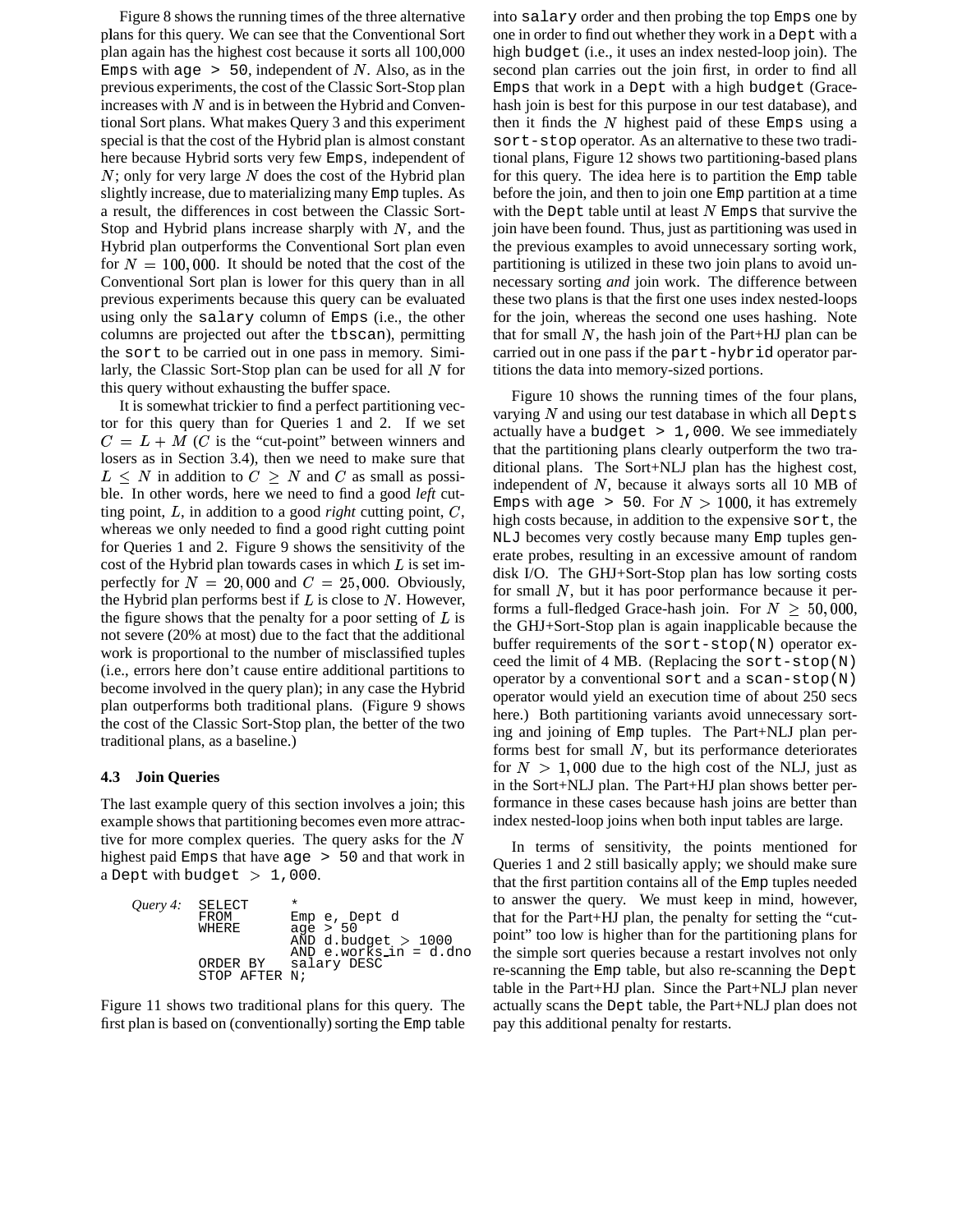Figure 8 shows the running times of the three alternative plans for this query. We can see that the Conventional Sort plan again has the highest cost because it sorts all 100,000 Emps with age  $> 50$ , independent of N. Also, as in the previous experiments, the cost of the Classic Sort-Stop plan increases with  $N$  and is in between the Hybrid and Conventional Sort plans. What makes Query 3 and this experiment special is that the cost of the Hybrid plan is almost constant here because Hybrid sorts very few Emps, independent of  $N$ ; only for very large N does the cost of the Hybrid plan slightly increase, due to materializing many Emp tuples. As a result, the differences in cost between the Classic Sort-Stop and Hybrid plans increase sharply with  $N$ , and the Hybrid plan outperforms the Conventional Sort plan even for  $N = 100,000$ . It should be noted that the cost of the Conventional Sort plan is lower for this query than in all previous experiments because this query can be evaluated using only the salary column of Emps (i.e., the other columns are projected out after the tbscan), permitting the sort to be carried out in one pass in memory. Similarly, the Classic Sort-Stop plan can be used for all  $N$  for this query without exhausting the buffer space.

It is somewhat trickier to find a perfect partitioning vector for this query than for Queries 1 and 2. If we set  $C = L + M$  (*C* is the "cut-point" between winners and losers as in Section 3.4), then we need to make sure that  $L \leq N$  in addition to  $C \geq N$  and  $C$  as small as possible. In other words, here we need to find a good *left* cutting point,  $L$ , in addition to a good *right* cutting point,  $C$ , whereas we only needed to find a good right cutting point for Queries 1 and 2. Figure 9 shows the sensitivity of the cost of the Hybrid plan towards cases in which  $L$  is set imperfectly for  $N = 20,000$  and  $C = 25,000$ . Obviously, the Hybrid plan performs best if  $L$  is close to  $N$ . However, the figure shows that the penalty for a poor setting of  $L$  is not severe (20% at most) due to the fact that the additional work is proportional to the number of misclassified tuples (i.e., errors here don't cause entire additional partitions to become involved in the query plan); in any case the Hybrid plan outperforms both traditional plans. (Figure 9 shows the cost of the Classic Sort-Stop plan, the better of the two traditional plans, as a baseline.)

# **4.3 Join Queries**

The last example query of this section involves a join; this example shows that partitioning becomes even more attractive for more complex queries. The query asks for the  $N$ highest paid Emps that have age > 50 and that work in a Dept with budget  $> 1,000$ .

| $Query 4$ : SELECT |               | $\star$                          |
|--------------------|---------------|----------------------------------|
|                    | FROM          | Emp e, Dept d                    |
|                    | WHERE         | age $> 50$                       |
|                    |               | $\overline{AND}$ d.budget > 1000 |
|                    |               | $AND$ e.works_in = $d$ .dno      |
|                    |               | ORDER BY salary DESC             |
|                    | STOP AFTER N; |                                  |

Figure 11 shows two traditional plans for this query. The first plan is based on (conventionally) sorting the Emp table into salary order and then probing the top Emps one by one in order to find out whether they work in a Dept with a high budget (i.e., it uses an index nested-loop join). The second plan carries out the join first, in order to find all Emps that work in a Dept with a high budget (Gracehash join is best for this purpose in our test database), and then it finds the  $N$  highest paid of these Emps using a sort-stop operator. As an alternative to these two traditional plans, Figure 12 shows two partitioning-based plans for this query. The idea here is to partition the Emp table before the join, and then to join one Emp partition at a time with the Dept table until at least  $N$  Emps that survive the join have been found. Thus, just as partitioning was used in the previous examples to avoid unnecessary sorting work, partitioning is utilized in these two join plans to avoid unnecessary sorting *and* join work. The difference between these two plans is that the first one uses index nested-loops for the join, whereas the second one uses hashing. Note that for small  $N$ , the hash join of the Part+HJ plan can be carried out in one pass if the part-hybrid operator partitions the data into memory-sized portions.

Figure 10 shows the running times of the four plans, varying  $N$  and using our test database in which all Depts actually have a budget  $> 1$ , 000. We see immediately that the partitioning plans clearly outperform the two traditional plans. The Sort+NLJ plan has the highest cost, independent of  $N$ , because it always sorts all 10 MB of Emps with age > 50. For  $N > 1000$ , it has extremely high costs because, in addition to the expensive sort, the NLJ becomes very costly because many Emp tuples generate probes, resulting in an excessive amount of random disk I/O. The GHJ+Sort-Stop plan has low sorting costs for small  $N$ , but it has poor performance because it performs a full-fledged Grace-hash join. For  $N \geq 50,000$ , the GHJ+Sort-Stop plan is again inapplicable because the buffer requirements of the sort-stop $(N)$  operator exceed the limit of 4 MB. (Replacing the sort-stop $(N)$ ) operator by a conventional sort and a scan-stop $(N)$ operator would yield an execution time of about 250 secs here.) Both partitioning variants avoid unnecessary sorting and joining of Emp tuples. The Part+NLJ plan performs best for small  $N$ , but its performance deteriorates for  $N > 1,000$  due to the high cost of the NLJ, just as in the Sort+NLJ plan. The Part+HJ plan shows better performance in these cases because hash joins are better than index nested-loop joins when both input tables are large.

In terms of sensitivity, the points mentioned for Queries 1 and 2 still basically apply; we should make sure that the first partition contains all of the Emp tuples needed to answer the query. We must keep in mind, however, that for the Part+HJ plan, the penalty for setting the "cutpoint" too low is higher than for the partitioning plans for the simple sort queries because a restart involves not only re-scanning the Emp table, but also re-scanning the Dept table in the Part+HJ plan. Since the Part+NLJ plan never actually scans the Dept table, the Part+NLJ plan does not pay this additional penalty for restarts.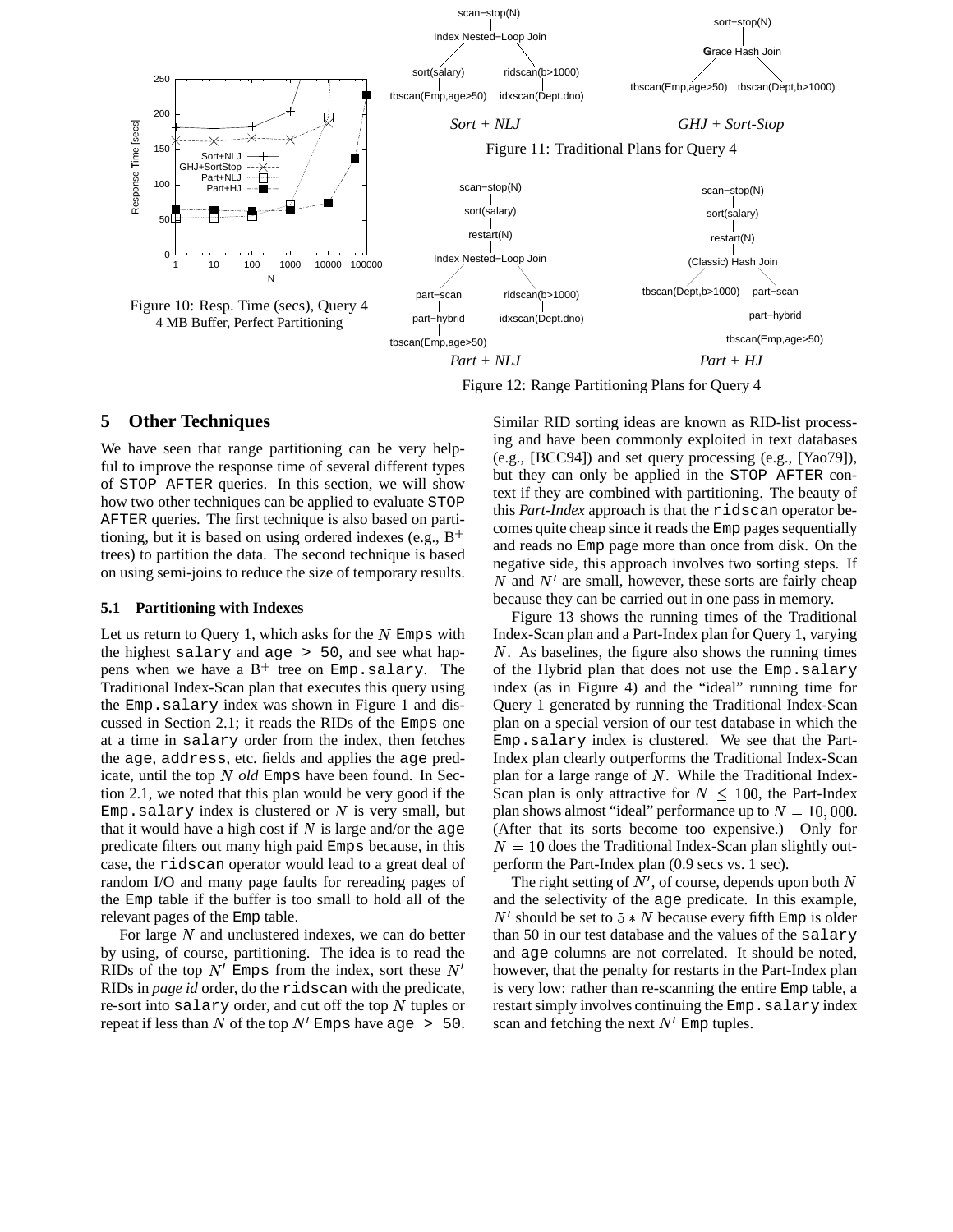

Figure 12: Range Partitioning Plans for Query 4

# **5 Other Techniques**

We have seen that range partitioning can be very helpful to improve the response time of several different types of STOP AFTER queries. In this section, we will show how two other techniques can be applied to evaluate STOP AFTER queries. The first technique is also based on partitioning, but it is based on using ordered indexes (e.g.,  $B^+$ trees) to partition the data. The second technique is based on using semi-joins to reduce the size of temporary results.

#### **5.1 Partitioning with Indexes**

Let us return to Query 1, which asks for the  $N$  Emps with the highest salary and age  $> 50$ , and see what happens when we have a  $B^+$  tree on Emp.salary. The Traditional Index-Scan plan that executes this query using the Emp.salary index was shown in Figure 1 and discussed in Section 2.1; it reads the RIDs of the Emps one at a time in salary order from the index, then fetches the age, address, etc. fields and applies the age predicate, until the top  $N$  old Emps have been found. In Section 2.1, we noted that this plan would be very good if the  $Emp.\s{salary}$  index is clustered or N is very small, but that it would have a high cost if  $N$  is large and/or the age predicate filters out many high paid Emps because, in this case, the ridscan operator would lead to a great deal of random I/O and many page faults for rereading pages of the Emp table if the buffer is too small to hold all of the relevant pages of the Emp table.

For large  $N$  and unclustered indexes, we can do better by using, of course, partitioning. The idea is to read the RIDs of the top  $N'$  Emps from the index, sort these  $N'$ RIDs in *page id* order, do the ridscan with the predicate, re-sort into salary order, and cut off the top  $N$  tuples or repeat if less than N of the top  $N'$  Emps have age > 50. Similar RID sorting ideas are known as RID-list processing and have been commonly exploited in text databases (e.g., [BCC94]) and set query processing (e.g., [Yao79]), but they can only be applied in the STOP AFTER context if they are combined with partitioning. The beauty of this *Part-Index* approach is that the ridscan operator becomes quite cheap since it reads the Emp pages sequentially and reads no Emp page more than once from disk. On the negative side, this approach involves two sorting steps. If  $N$  and  $N'$  are small, however, these sorts are fairly cheap because they can be carried out in one pass in memory.

Figure 13 shows the running times of the Traditional Index-Scan plan and a Part-Index plan for Query 1, varying  $N$ . As baselines, the figure also shows the running times of the Hybrid plan that does not use the Emp.salary index (as in Figure 4) and the "ideal" running time for Query 1 generated by running the Traditional Index-Scan plan on a special version of our test database in which the Emp.salary index is clustered. We see that the Part-Index plan clearly outperforms the Traditional Index-Scan plan for a large range of  $N$ . While the Traditional Index-Scan plan is only attractive for  $N \leq 100$ , the Part-Index plan shows almost "ideal" performance up to  $N = 10,000$ . (After that its sorts become too expensive.) Only for  $N = 10$  does the Traditional Index-Scan plan slightly outperform the Part-Index plan (0.9 secs vs. 1 sec).

The right setting of  $N'$ , of course, depends upon both N and the selectivity of the age predicate. In this example,  $N'$  should be set to  $5*N$  because every fifth Emp is older than 50 in our test database and the values of the salary and age columns are not correlated. It should be noted, however, that the penalty for restarts in the Part-Index plan is very low: rather than re-scanning the entire Emp table, a restart simply involves continuing the Emp. salary index scan and fetching the next  $N'$  Emp tuples.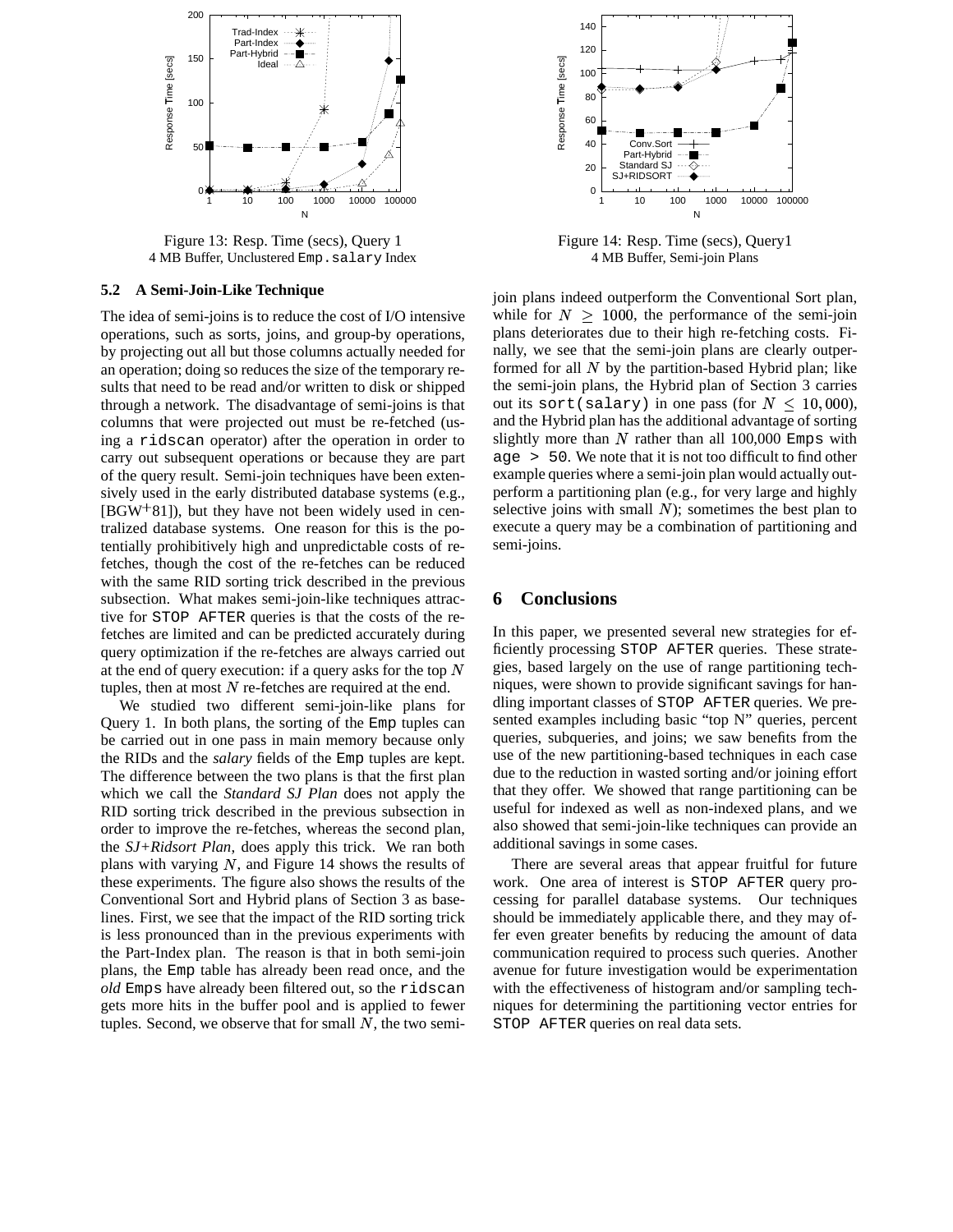

Figure 13: Resp. Time (secs), Query 1 4 MB Buffer, Unclustered Emp.salary Index

## **5.2 A Semi-Join-Like Technique**

The idea of semi-joins is to reduce the cost of I/O intensive operations, such as sorts, joins, and group-by operations, by projecting out all but those columns actually needed for an operation; doing so reduces the size of the temporary results that need to be read and/or written to disk or shipped through a network. The disadvantage of semi-joins is that columns that were projected out must be re-fetched (using a ridscan operator) after the operation in order to carry out subsequent operations or because they are part of the query result. Semi-join techniques have been extensively used in the early distributed database systems (e.g.,  $[BGW+81]$ , but they have not been widely used in centralized database systems. One reason for this is the potentially prohibitively high and unpredictable costs of refetches, though the cost of the re-fetches can be reduced with the same RID sorting trick described in the previous subsection. What makes semi-join-like techniques attractive for STOP AFTER queries is that the costs of the refetches are limited and can be predicted accurately during query optimization if the re-fetches are always carried out at the end of query execution: if a query asks for the top  $N$ tuples, then at most  $N$  re-fetches are required at the end.

We studied two different semi-join-like plans for Query 1. In both plans, the sorting of the Emp tuples can be carried out in one pass in main memory because only the RIDs and the *salary* fields of the Emp tuples are kept. The difference between the two plans is that the first plan which we call the *Standard SJ Plan* does not apply the RID sorting trick described in the previous subsection in order to improve the re-fetches, whereas the second plan, the *SJ+Ridsort Plan*, does apply this trick. We ran both plans with varying  $N$ , and Figure 14 shows the results of these experiments. The figure also shows the results of the Conventional Sort and Hybrid plans of Section 3 as baselines. First, we see that the impact of the RID sorting trick is less pronounced than in the previous experiments with the Part-Index plan. The reason is that in both semi-join plans, the Emp table has already been read once, and the *old* Emps have already been filtered out, so the ridscan gets more hits in the buffer pool and is applied to fewer tuples. Second, we observe that for small  $N$ , the two semi-



Figure 14: Resp. Time (secs), Query1 4 MB Buffer, Semi-join Plans

join plans indeed outperform the Conventional Sort plan, while for  $N \geq 1000$ , the performance of the semi-join plans deteriorates due to their high re-fetching costs. Finally, we see that the semi-join plans are clearly outperformed for all  $N$  by the partition-based Hybrid plan; like the semi-join plans, the Hybrid plan of Section 3 carries out its sort(salary) in one pass (for  $N \leq 10,000$ ), and the Hybrid plan has the additional advantage of sorting slightly more than  $N$  rather than all 100,000 Emps with age > 50. We note that it is not too difficult to find other example queries where a semi-join plan would actually outperform a partitioning plan (e.g., for very large and highly selective joins with small  $N$ ); sometimes the best plan to execute a query may be a combination of partitioning and semi-joins.

# **6 Conclusions**

In this paper, we presented several new strategies for efficiently processing STOP AFTER queries. These strategies, based largely on the use of range partitioning techniques, were shown to provide significant savings for handling important classes of STOP AFTER queries. We presented examples including basic "top N" queries, percent queries, subqueries, and joins; we saw benefits from the use of the new partitioning-based techniques in each case due to the reduction in wasted sorting and/or joining effort that they offer. We showed that range partitioning can be useful for indexed as well as non-indexed plans, and we also showed that semi-join-like techniques can provide an additional savings in some cases.

There are several areas that appear fruitful for future work. One area of interest is STOP AFTER query processing for parallel database systems. Our techniques should be immediately applicable there, and they may offer even greater benefits by reducing the amount of data communication required to process such queries. Another avenue for future investigation would be experimentation with the effectiveness of histogram and/or sampling techniques for determining the partitioning vector entries for STOP AFTER queries on real data sets.